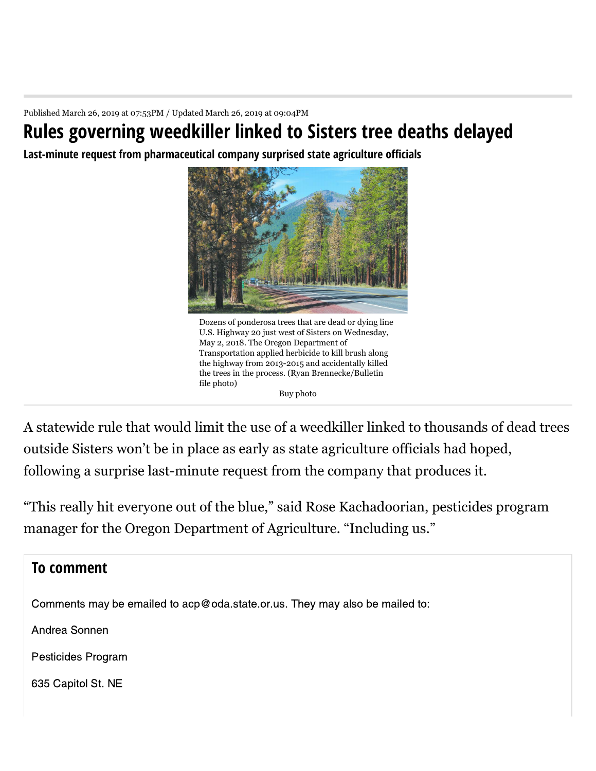Published March 26, 2019 at 07:53PM / Updated March 26, 2019 at 09:04PM

## **Rules governing weedkiller linked to Sisters tree deaths delayed**

Last-minute request from pharmaceutical company surprised state agriculture officials



Dozens of ponderosa trees that are dead or dying line U.S. Highway 20 just west of Sisters on Wednesday, May 2, 2018. The Oregon Department of Transportation applied herbicide to kill brush along the highway from 2013-2015 and accidentally killed the trees in the process. (Ryan Brennecke/Bulletin file photo) Buy photo

A statewide rule that would limit the use of a weedkiller linked to thousands of dead trees outside Sisters won't be in place as early as state agriculture officials had hoped, following a surprise last-minute request from the company that produces it.

"This really hit everyone out of the blue," said Rose Kachadoorian, pesticides program manager for the Oregon Department of Agriculture. "Including us."

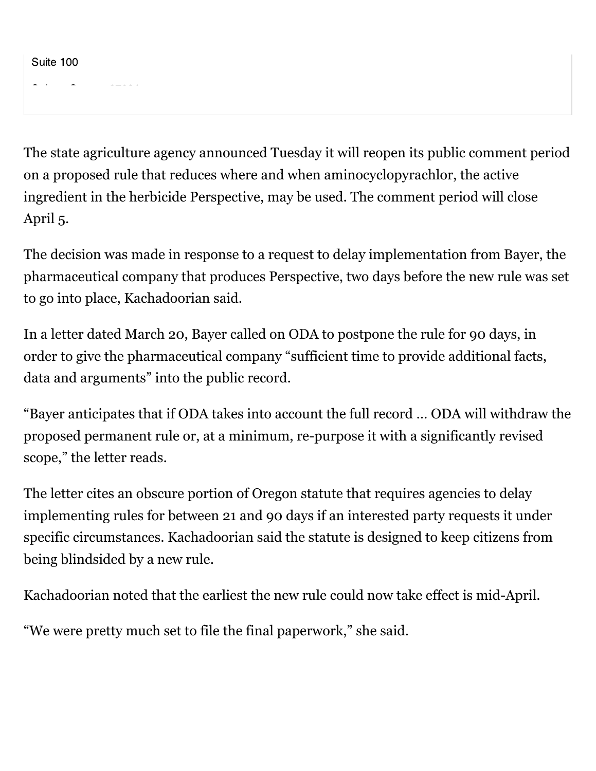Suite 100

The state agriculture agency announced Tuesday it will reopen its public comment period on a proposed rule that reduces where and when aminocyclopyrachlor, the active ingredient in the herbicide Perspective, may be used. The comment period will close April 5.

The decision was made in response to a request to delay implementation from Bayer, the pharmaceutical company that produces Perspective, two days before the new rule was set to go into place, Kachadoorian said.

In a letter dated March 20, Bayer called on ODA to postpone the rule for 90 days, in order to give the pharmaceutical company "sufficient time to provide additional facts, data and arguments" into the public record.

"Bayer anticipates that if ODA takes into account the full record … ODA will withdraw the proposed permanent rule or, at a minimum, re-purpose it with a significantly revised scope," the letter reads.

The letter cites an obscure portion of Oregon statute that requires agencies to delay implementing rules for between 21 and 90 days if an interested party requests it under specific circumstances. Kachadoorian said the statute is designed to keep citizens from being blindsided by a new rule.

Kachadoorian noted that the earliest the new rule could now take effect is mid-April.

"We were pretty much set to file the final paperwork," she said.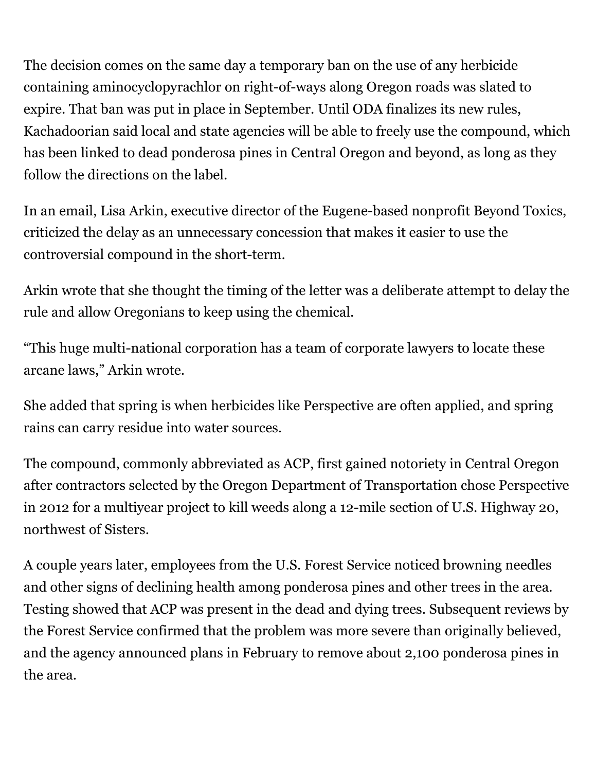The decision comes on the same day a temporary ban on the use of any herbicide containing aminocyclopyrachlor on right-of-ways along Oregon roads was slated to expire. That ban was put in place in September. Until ODA finalizes its new rules, Kachadoorian said local and state agencies will be able to freely use the compound, which has been linked to dead ponderosa pines in Central Oregon and beyond, as long as they follow the directions on the label.

In an email, Lisa Arkin, executive director of the Eugene- based nonprofit Beyond Toxics, criticized the delay as an unnecessary concession that makes it easier to use the controversial compound in the short-term.

Arkin wrote that she thought the timing of the letter was a deliberate attempt to delay the rule and allow Oregonians to keep using the chemical.

"This huge multi-national corporation has a team of corporate lawyers to locate these arcane laws," Arkin wrote.

She added that spring is when herbicides like Perspective are often applied, and spring rains can carry residue into water sources.

The compound, commonly abbreviated as ACP, first gained notoriety in Central Oregon after contractors selected by the Oregon Department of Transportation chose Perspective in 2012 for a multiyear project to kill weeds along a 12-mile section of U.S. Highway 20, northwest of Sisters.

A couple years later, employees from the U.S. Forest Service noticed browning needles and other signs of declining health among ponderosa pines and other trees in the area. Testing showed that ACP was present in the dead and dying trees. Subsequent reviews by the Forest Service confirmed that the problem was more severe than originally believed, and the agency announced plans in February to remove about 2,100 ponderosa pines in the area.